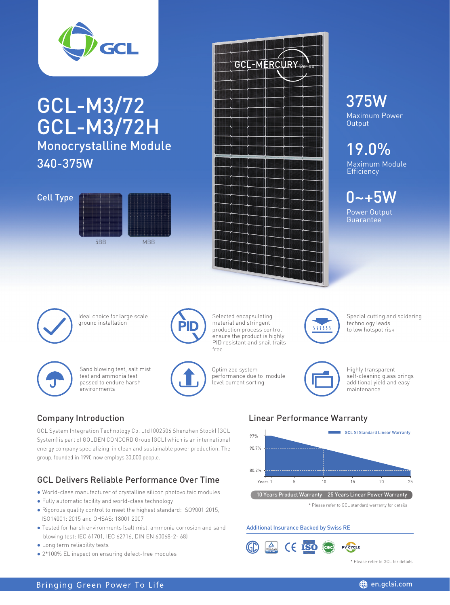

# GCL-M3/72 GCL-M3/72H 340-375W Monocrystalline Module

### Cell Type





# 375W

Maximum Power **Output** 

# 19.0%

Maximum Module **Efficiency** 



Power Output Guarantee



Ideal choice for large scale ground installation



Sand blowing test, salt mist test and ammonia test passed to endure harsh environments



Selected encapsulating material and stringent production process control ensure the product is highly PID resistant and snail trails free



Optimized system performance due to module level current sorting



Special cutting and soldering technology leads to low hotspot risk



Highly transparent self-cleaning glass brings additional yield and easy maintenance

## Company Introduction

GCL System Integration Technology Co. Ltd (002506 Shenzhen Stock) (GCL System) is part of GOLDEN CONCORD Group (GCL) which is an international energy company specializing in clean and sustainable power production. The group, founded in 1990 now employs 30,000 people.

## GCL Delivers Reliable Performance Over Time

- World-class manufacturer of crystalline silicon photovoltaic modules
- Fully automatic facility and world-class technology
- Rigorous quality control to meet the highest standard: ISO9001:2015, ISO14001: 2015 and OHSAS: 18001 2007
- Tested for harsh environments (salt mist, ammonia corrosion and sand blowing test: IEC 61701, IEC 62716, DIN EN 60068-2- 68)
- Long term reliability tests
- 2\*100% EL inspection ensuring defect-free modules

## Linear Performance Warranty



\* Please refer to GCL standard warranty for details

Additional Insurance Backed by Swiss RE